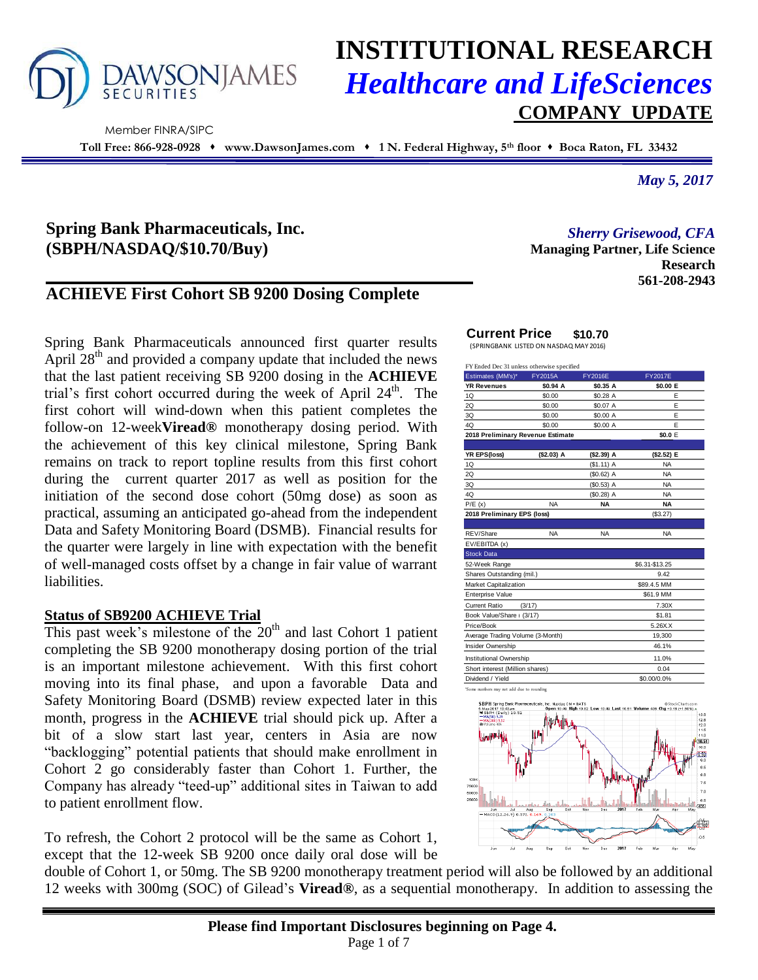

Member FINRA/SIPC

# **INSTITUTIONAL RESEARCH** *Healthcare and LifeSciences* **COMPANY UPDATE**

**Toll Free: 866-928-0928 www.DawsonJames.com 1 N. Federal Highway, 5th floor Boca Raton, FL 33432**

*May 5, 2017*

# **Spring Bank Pharmaceuticals, Inc. (SBPH/NASDAQ/\$10.70/Buy)**

# **ACHIEVE First Cohort SB 9200 Dosing Complete**

Spring Bank Pharmaceuticals announced first quarter results April  $28<sup>th</sup>$  and provided a company update that included the news that the last patient receiving SB 9200 dosing in the **ACHIEVE** trial's first cohort occurred during the week of April 24<sup>th</sup>. The first cohort will wind-down when this patient completes the follow-on 12-week**Viread®** monotherapy dosing period. With the achievement of this key clinical milestone, Spring Bank remains on track to report topline results from this first cohort during the current quarter 2017 as well as position for the initiation of the second dose cohort (50mg dose) as soon as practical, assuming an anticipated go-ahead from the independent Data and Safety Monitoring Board (DSMB). Financial results for the quarter were largely in line with expectation with the benefit of well-managed costs offset by a change in fair value of warrant liabilities.

# **Status of SB9200 ACHIEVE Trial**

This past week's milestone of the  $20<sup>th</sup>$  and last Cohort 1 patient completing the SB 9200 monotherapy dosing portion of the trial is an important milestone achievement. With this first cohort moving into its final phase, and upon a favorable Data and Safety Monitoring Board (DSMB) review expected later in this month, progress in the **ACHIEVE** trial should pick up. After a bit of a slow start last year, centers in Asia are now "backlogging" potential patients that should make enrollment in Cohort 2 go considerably faster than Cohort 1. Further, the Company has already "teed-up" additional sites in Taiwan to add to patient enrollment flow.

To refresh, the Cohort 2 protocol will be the same as Cohort 1, except that the 12-week SB 9200 once daily oral dose will be *Sherry Grisewood, CFA*

**Managing Partner, Life Science Research 561-208-2943**

# **Current Price \$10.70**

(SPRINGBANK LISTED ON NASDAQ MAY 2016)

| FY Ended Dec 31 unless otherwise specified |                |                |                |                |  |  |  |
|--------------------------------------------|----------------|----------------|----------------|----------------|--|--|--|
| Estimates (MM's)*                          | <b>FY2015A</b> | <b>FY2016E</b> |                | <b>FY2017E</b> |  |  |  |
| <b>YR Revenues</b>                         | \$0.94 A       | \$0.35 A       |                | \$0.00 E       |  |  |  |
| 1Q                                         | \$0.00         | \$0.28 A       |                | E              |  |  |  |
| 2Q                                         | \$0.00         | \$0.07 A       |                | E              |  |  |  |
| 3Q                                         | \$0.00         | \$0.00 A       |                | E              |  |  |  |
| 4Q                                         | \$0.00         | \$0.00 A       |                | E              |  |  |  |
| 2018 Preliminary Revenue Estimate          |                | \$0.0 E        |                |                |  |  |  |
|                                            |                |                |                |                |  |  |  |
| YR EPS(loss)                               | (\$2.03) A     | (\$2.39) A     |                | (\$2.52) E     |  |  |  |
| 1Q                                         |                | $($1.11)$ A    |                | <b>NA</b>      |  |  |  |
| 2Q                                         |                | $(S0.62)$ A    |                | <b>NA</b>      |  |  |  |
| 3Q                                         |                | $(S0.53)$ A    |                | <b>NA</b>      |  |  |  |
| 4Q                                         |                | $($0.28)$ A    |                | <b>NA</b>      |  |  |  |
| P/E(x)                                     | <b>NA</b>      | <b>NA</b>      |                | <b>NA</b>      |  |  |  |
| 2018 Preliminary EPS (loss)                |                |                | (\$3.27)       |                |  |  |  |
|                                            |                |                |                |                |  |  |  |
| REV/Share                                  | <b>NA</b>      | <b>NA</b>      |                | <b>NA</b>      |  |  |  |
| EV/EBITDA (x)                              |                |                |                |                |  |  |  |
| <b>Stock Data</b>                          |                |                |                |                |  |  |  |
| 52-Week Range                              |                |                | \$6.31-\$13.25 |                |  |  |  |
| Shares Outstanding (mil.)                  |                | 9.42           |                |                |  |  |  |
| <b>Market Capitalization</b>               |                |                | \$89.4.5 MM    |                |  |  |  |
| <b>Enterprise Value</b>                    |                |                | \$61.9 MM      |                |  |  |  |
| <b>Current Ratio</b>                       | (3/17)         |                |                | 7.30X          |  |  |  |
| Book Value/Share (3/17)                    |                | \$1.81         |                |                |  |  |  |
| Price/Book                                 |                |                |                | 5.26XX         |  |  |  |
| Average Trading Volume (3-Month)           |                |                |                | 19,300         |  |  |  |
| Insider Ownership                          |                |                | 46.1%          |                |  |  |  |
| Institutional Ownership                    |                | 11.0%          |                |                |  |  |  |
| Short interest (Million shares)            |                | 0.04           |                |                |  |  |  |
| Dividend / Yield                           |                | \$0.00/0.0%    |                |                |  |  |  |
|                                            |                |                |                |                |  |  |  |



double of Cohort 1, or 50mg. The SB 9200 monotherapy treatment period will also be followed by an additional 12 weeks with 300mg (SOC) of Gilead's **Viread®**, as a sequential monotherapy. In addition to assessing the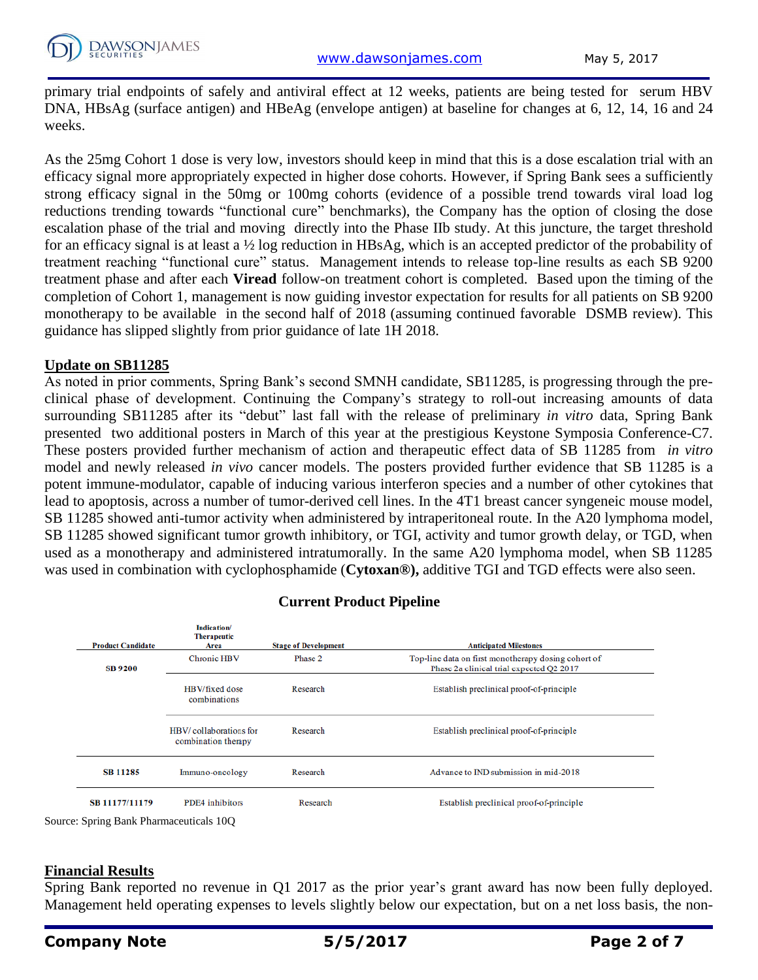primary trial endpoints of safely and antiviral effect at 12 weeks, patients are being tested for serum HBV DNA, HBsAg (surface antigen) and HBeAg (envelope antigen) at baseline for changes at 6, 12, 14, 16 and 24 weeks.

As the 25mg Cohort 1 dose is very low, investors should keep in mind that this is a dose escalation trial with an efficacy signal more appropriately expected in higher dose cohorts. However, if Spring Bank sees a sufficiently strong efficacy signal in the 50mg or 100mg cohorts (evidence of a possible trend towards viral load log reductions trending towards "functional cure" benchmarks), the Company has the option of closing the dose escalation phase of the trial and moving directly into the Phase IIb study. At this juncture, the target threshold for an efficacy signal is at least a ½ log reduction in HBsAg, which is an accepted predictor of the probability of treatment reaching "functional cure" status. Management intends to release top-line results as each SB 9200 treatment phase and after each **Viread** follow-on treatment cohort is completed. Based upon the timing of the completion of Cohort 1, management is now guiding investor expectation for results for all patients on SB 9200 monotherapy to be available in the second half of 2018 (assuming continued favorable DSMB review). This guidance has slipped slightly from prior guidance of late 1H 2018.

# **Update on SB11285**

As noted in prior comments, Spring Bank's second SMNH candidate, SB11285, is progressing through the preclinical phase of development. Continuing the Company's strategy to roll-out increasing amounts of data surrounding SB11285 after its "debut" last fall with the release of preliminary *in vitro* data, Spring Bank presented two additional posters in March of this year at the prestigious Keystone Symposia Conference-C7. These posters provided further mechanism of action and therapeutic effect data of SB 11285 from *in vitro*  model and newly released *in vivo* cancer models. The posters provided further evidence that SB 11285 is a potent immune-modulator, capable of inducing various interferon species and a number of other cytokines that lead to apoptosis, across a number of tumor-derived cell lines. In the 4T1 breast cancer syngeneic mouse model, SB 11285 showed anti-tumor activity when administered by intraperitoneal route. In the A20 lymphoma model, SB 11285 showed significant tumor growth inhibitory, or TGI, activity and tumor growth delay, or TGD, when used as a monotherapy and administered intratumorally. In the same A20 lymphoma model, when SB 11285 was used in combination with cyclophosphamide (**Cytoxan®),** additive TGI and TGD effects were also seen.

| <b>Product Candidate</b>                                       | Indication/<br><b>Therapeutic</b><br>Area     | <b>Stage of Development</b> | <b>Anticipated Milestones</b>                                                                   |
|----------------------------------------------------------------|-----------------------------------------------|-----------------------------|-------------------------------------------------------------------------------------------------|
| SB 9200                                                        | <b>Chronic HBV</b>                            | Phase 2                     | Top-line data on first monotherapy dosing cohort of<br>Phase 2a clinical trial expected O2 2017 |
|                                                                | HBV/fixed dose<br>combinations                | Research                    | Establish preclinical proof-of-principle                                                        |
|                                                                | HBV/collaborations for<br>combination therapy | Research                    | Establish preclinical proof-of-principle                                                        |
| <b>SB 11285</b>                                                | Immuno-oncology                               | Research                    | Advance to IND submission in mid-2018                                                           |
| SB 11177/11179<br>$\Omega$ Service Dept Decements in the $100$ | PDE4 inhibitors                               | Research                    | Establish preclinical proof-of-principle                                                        |

# **Current Product Pipeline**

Source: Spring Bank Pharmaceuticals 10Q

# **Financial Results**

Spring Bank reported no revenue in Q1 2017 as the prior year's grant award has now been fully deployed. Management held operating expenses to levels slightly below our expectation, but on a net loss basis, the non-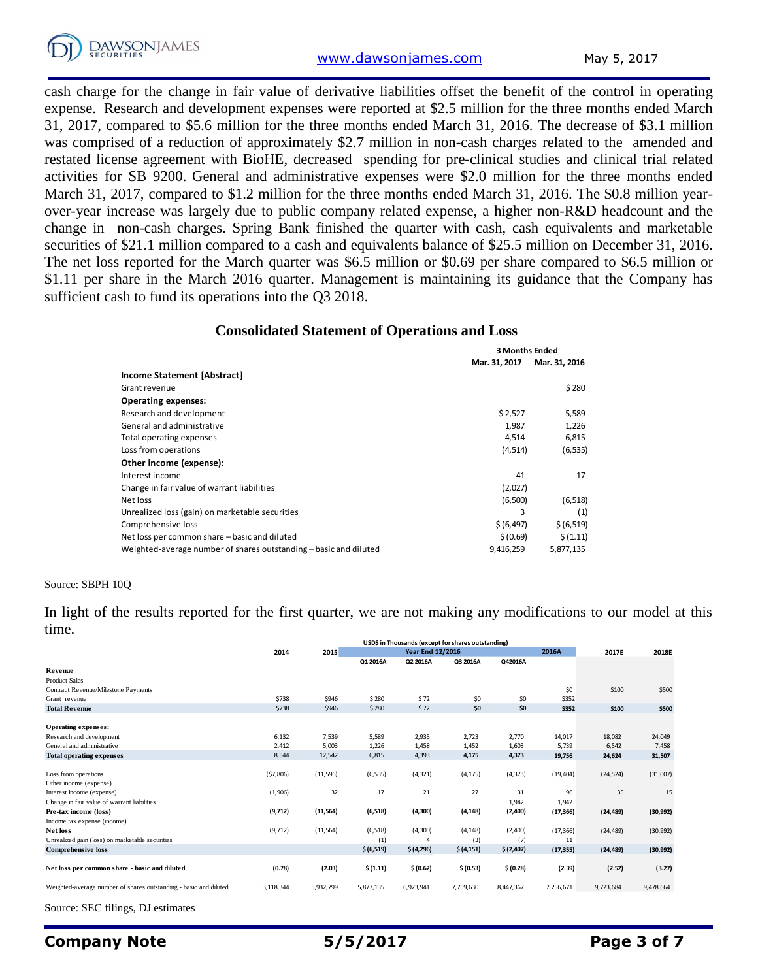

[www.dawsonjames.com](http://www.dawsonjames.com/) May 5, 2017

cash charge for the change in fair value of derivative liabilities offset the benefit of the control in operating expense. Research and development expenses were reported at \$2.5 million for the three months ended March 31, 2017, compared to \$5.6 million for the three months ended March 31, 2016. The decrease of \$3.1 million was comprised of a reduction of approximately \$2.7 million in non-cash charges related to the amended and restated license agreement with BioHE, decreased spending for pre-clinical studies and clinical trial related activities for SB 9200. General and administrative expenses were \$2.0 million for the three months ended March 31, 2017, compared to \$1.2 million for the three months ended March 31, 2016. The \$0.8 million yearover-year increase was largely due to public company related expense, a higher non-R&D headcount and the change in non-cash charges. Spring Bank finished the quarter with cash, cash equivalents and marketable securities of \$21.1 million compared to a cash and equivalents balance of \$25.5 million on December 31, 2016. The net loss reported for the March quarter was \$6.5 million or \$0.69 per share compared to \$6.5 million or \$1.11 per share in the March 2016 quarter. Management is maintaining its guidance that the Company has sufficient cash to fund its operations into the Q3 2018.

#### **Consolidated Statement of Operations and Loss**

|                                                                   | <b>3 Months Ended</b> |               |  |
|-------------------------------------------------------------------|-----------------------|---------------|--|
|                                                                   | Mar. 31, 2017         | Mar. 31, 2016 |  |
| Income Statement [Abstract]                                       |                       |               |  |
| Grant revenue                                                     |                       | \$280         |  |
| <b>Operating expenses:</b>                                        |                       |               |  |
| Research and development                                          | \$2,527               | 5,589         |  |
| General and administrative                                        | 1.987                 | 1,226         |  |
| Total operating expenses                                          | 4,514                 | 6,815         |  |
| Loss from operations                                              | (4, 514)              | (6, 535)      |  |
| Other income (expense):                                           |                       |               |  |
| Interest income                                                   | 41                    | 17            |  |
| Change in fair value of warrant liabilities                       | (2,027)               |               |  |
| Net loss                                                          | (6,500)               | (6, 518)      |  |
| Unrealized loss (gain) on marketable securities                   | 3                     | (1)           |  |
| Comprehensive loss                                                | \$ (6, 497)           | \$ (6,519)    |  |
| Net loss per common share - basic and diluted                     | \$(0.69)              | \$(1.11)      |  |
| Weighted-average number of shares outstanding - basic and diluted | 9,416,259             | 5,877,135     |  |

#### Source: SBPH 10Q

In light of the results reported for the first quarter, we are not making any modifications to our model at this time.

|                                                                   | USD\$ in Thousands (except for shares outstanding) |           |                         |            |            |           |           |           |           |
|-------------------------------------------------------------------|----------------------------------------------------|-----------|-------------------------|------------|------------|-----------|-----------|-----------|-----------|
|                                                                   | 2014                                               | 2015      | <b>Year End 12/2016</b> |            |            | 2016A     | 2017E     | 2018E     |           |
|                                                                   |                                                    |           | Q1 2016A                | Q2 2016A   | Q3 2016A   | Q42016A   |           |           |           |
| Revenue                                                           |                                                    |           |                         |            |            |           |           |           |           |
| <b>Product Sales</b>                                              |                                                    |           |                         |            |            |           |           |           |           |
| Contract Revenue/Milestone Payments                               |                                                    |           |                         |            |            |           | \$0       | \$100     | \$500     |
| Grant revenue                                                     | \$738                                              | \$946     | \$280                   | \$72       | \$0        | \$0       | \$352     |           |           |
| <b>Total Revenue</b>                                              | \$738                                              | \$946     | \$280                   | \$72       | \$0        | \$0       | \$352     | \$100     | \$500     |
|                                                                   |                                                    |           |                         |            |            |           |           |           |           |
| Operating expenses:                                               |                                                    |           |                         |            |            |           |           |           |           |
| Research and development                                          | 6,132                                              | 7,539     | 5,589                   | 2,935      | 2,723      | 2,770     | 14,017    | 18,082    | 24,049    |
| General and administrative                                        | 2,412                                              | 5,003     | 1,226                   | 1,458      | 1,452      | 1,603     | 5,739     | 6,542     | 7,458     |
| <b>Total operating expenses</b>                                   | 8,544                                              | 12,542    | 6,815                   | 4,393      | 4,175      | 4,373     | 19,756    | 24,624    | 31,507    |
|                                                                   |                                                    |           |                         |            |            |           |           |           |           |
| Loss from operations                                              | (57,806)                                           | (11, 596) | (6, 535)                | (4, 321)   | (4, 175)   | (4, 373)  | (19, 404) | (24, 524) | (31,007)  |
| Other income (expense)                                            |                                                    |           |                         |            |            |           |           |           |           |
| Interest income (expense)                                         | (1,906)                                            | 32        | 17                      | 21         | 27         | 31        | 96        | 35        | 15        |
| Change in fair value of warrant liabilities                       |                                                    |           |                         |            |            | 1,942     | 1,942     |           |           |
| Pre-tax income (loss)                                             | (9,712)                                            | (11, 564) | (6, 518)                | (4, 300)   | (4, 148)   | (2,400)   | (17, 366) | (24, 489) | (30, 992) |
| Income tax expense (income)                                       |                                                    |           |                         |            |            |           |           |           |           |
| <b>Net loss</b>                                                   | (9,712)                                            | (11, 564) | (6, 518)                | (4,300)    | (4, 148)   | (2,400)   | (17, 366) | (24, 489) | (30, 992) |
| Unrealized gain (loss) on marketable securities                   |                                                    |           | (1)                     | 4          | (3)        | (7)       | 11        |           |           |
| <b>Comprehensive loss</b>                                         |                                                    |           | \$ (6,519)              | \$ (4,296) | \$ (4,151) | \$(2,407) | (17, 355) | (24, 489) | (30, 992) |
|                                                                   |                                                    |           |                         |            |            |           |           |           |           |
| Net loss per common share - basic and diluted                     | (0.78)                                             | (2.03)    | \$(1.11)                | \$ (0.62)  | \$ (0.53)  | \$ (0.28) | (2.39)    | (2.52)    | (3.27)    |
| Weighted-average number of shares outstanding - basic and diluted | 3,118,344                                          | 5,932,799 | 5,877,135               | 6,923,941  | 7,759,630  | 8,447,367 | 7,256,671 | 9,723,684 | 9,478,664 |
|                                                                   |                                                    |           |                         |            |            |           |           |           |           |

Source: SEC filings, DJ estimates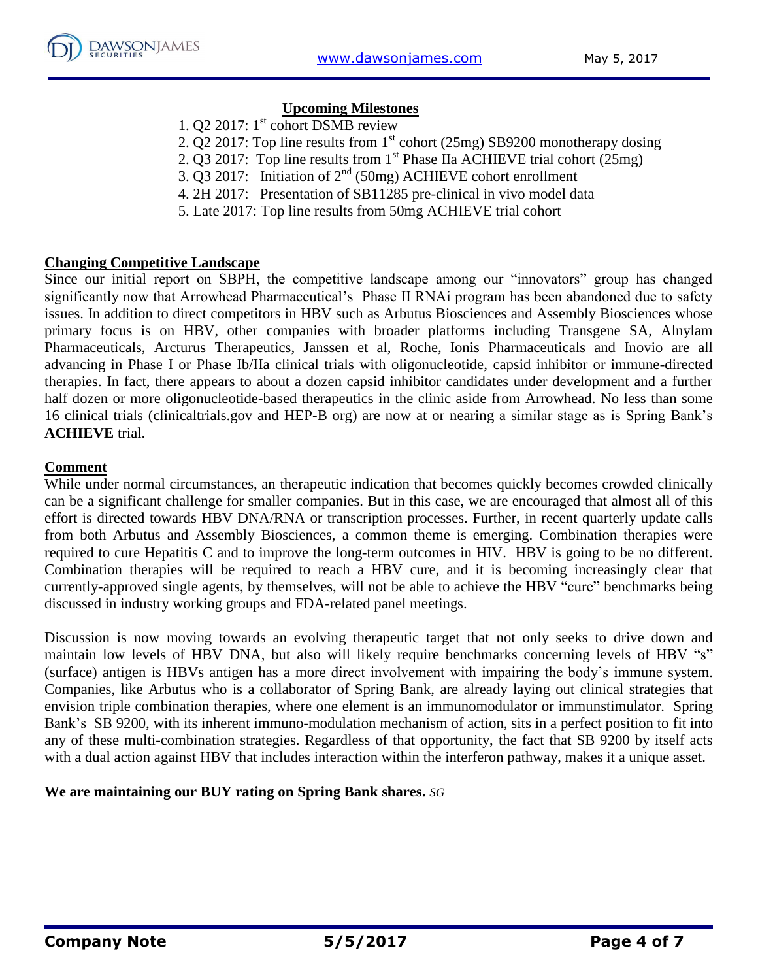# **Upcoming Milestones**

- 1. Q2 2017: 1<sup>st</sup> cohort DSMB review
- 2. Q2 2017: Top line results from  $1<sup>st</sup>$  cohort (25mg) SB9200 monotherapy dosing
- 2. Q3 2017: Top line results from  $1^{st}$  Phase IIa ACHIEVE trial cohort (25mg)
- 3.  $\overline{Q}$ 3 2017: Initiation of 2<sup>nd</sup> (50mg) ACHIEVE cohort enrollment
- 4. 2H 2017: Presentation of SB11285 pre-clinical in vivo model data
- 5. Late 2017: Top line results from 50mg ACHIEVE trial cohort

# **Changing Competitive Landscape**

Since our initial report on SBPH, the competitive landscape among our "innovators" group has changed significantly now that Arrowhead Pharmaceutical's Phase II RNAi program has been abandoned due to safety issues. In addition to direct competitors in HBV such as Arbutus Biosciences and Assembly Biosciences whose primary focus is on HBV, other companies with broader platforms including Transgene SA, Alnylam Pharmaceuticals, Arcturus Therapeutics, Janssen et al, Roche, Ionis Pharmaceuticals and Inovio are all advancing in Phase I or Phase Ib/IIa clinical trials with oligonucleotide, capsid inhibitor or immune-directed therapies. In fact, there appears to about a dozen capsid inhibitor candidates under development and a further half dozen or more oligonucleotide-based therapeutics in the clinic aside from Arrowhead. No less than some 16 clinical trials (clinicaltrials.gov and HEP-B org) are now at or nearing a similar stage as is Spring Bank's **ACHIEVE** trial.

# **Comment**

While under normal circumstances, an therapeutic indication that becomes quickly becomes crowded clinically can be a significant challenge for smaller companies. But in this case, we are encouraged that almost all of this effort is directed towards HBV DNA/RNA or transcription processes. Further, in recent quarterly update calls from both Arbutus and Assembly Biosciences, a common theme is emerging. Combination therapies were required to cure Hepatitis C and to improve the long-term outcomes in HIV. HBV is going to be no different. Combination therapies will be required to reach a HBV cure, and it is becoming increasingly clear that currently-approved single agents, by themselves, will not be able to achieve the HBV "cure" benchmarks being discussed in industry working groups and FDA-related panel meetings.

Discussion is now moving towards an evolving therapeutic target that not only seeks to drive down and maintain low levels of HBV DNA, but also will likely require benchmarks concerning levels of HBV "s" (surface) antigen is HBVs antigen has a more direct involvement with impairing the body's immune system. Companies, like Arbutus who is a collaborator of Spring Bank, are already laying out clinical strategies that envision triple combination therapies, where one element is an immunomodulator or immunstimulator. Spring Bank's SB 9200, with its inherent immuno-modulation mechanism of action, sits in a perfect position to fit into any of these multi-combination strategies. Regardless of that opportunity, the fact that SB 9200 by itself acts with a dual action against HBV that includes interaction within the interferon pathway, makes it a unique asset.

# **We are maintaining our BUY rating on Spring Bank shares.** *SG*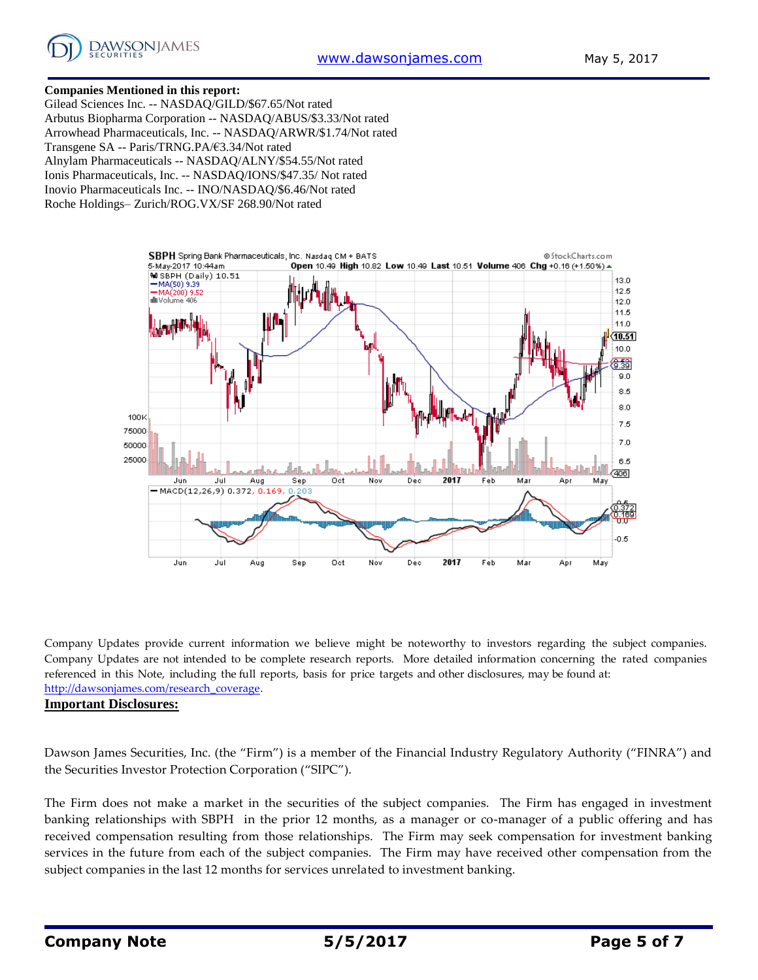

#### **Companies Mentioned in this report:**

Gilead Sciences Inc. -- NASDAQ/GILD/\$67.65/Not rated Arbutus Biopharma Corporation -- NASDAQ/ABUS/\$3.33/Not rated Arrowhead Pharmaceuticals, Inc. -- NASDAQ/ARWR/\$1.74/Not rated Transgene SA -- Paris/TRNG.PA/€3.34/Not rated Alnylam Pharmaceuticals -- NASDAQ/ALNY/\$54.55/Not rated Ionis Pharmaceuticals, Inc. -- NASDAQ/IONS/\$47.35/ Not rated Inovio Pharmaceuticals Inc. -- INO/NASDAQ/\$6.46/Not rated Roche Holdings– Zurich/ROG.VX/SF 268.90/Not rated



Company Updates provide current information we believe might be noteworthy to investors regarding the subject companies. Company Updates are not intended to be complete research reports. More detailed information concerning the rated companies referenced in this Note, including the full reports, basis for price targets and other disclosures, may be found at: [http://dawsonjames.com/research\\_coverage.](http://dawsonjames.com/research_coverage)

### **Important Disclosures:**

Dawson James Securities, Inc. (the "Firm") is a member of the Financial Industry Regulatory Authority ("FINRA") and the Securities Investor Protection Corporation ("SIPC").

The Firm does not make a market in the securities of the subject companies. The Firm has engaged in investment banking relationships with SBPH in the prior 12 months, as a manager or co-manager of a public offering and has received compensation resulting from those relationships. The Firm may seek compensation for investment banking services in the future from each of the subject companies. The Firm may have received other compensation from the subject companies in the last 12 months for services unrelated to investment banking.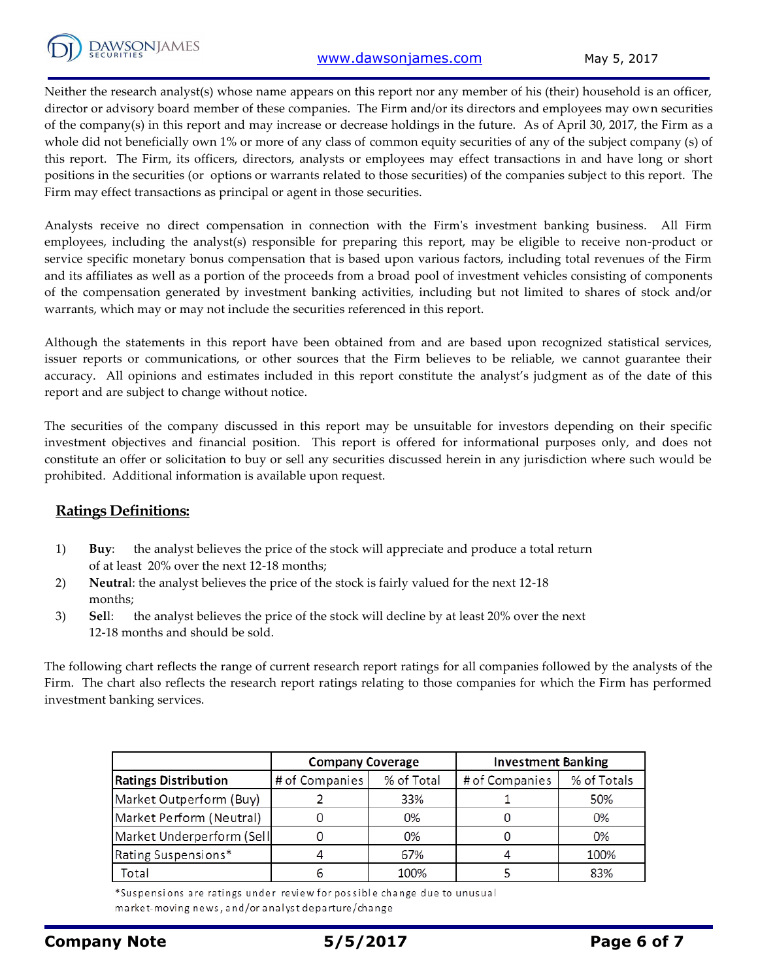

Neither the research analyst(s) whose name appears on this report nor any member of his (their) household is an officer, director or advisory board member of these companies. The Firm and/or its directors and employees may own securities of the company(s) in this report and may increase or decrease holdings in the future. As of April 30, 2017, the Firm as a whole did not beneficially own 1% or more of any class of common equity securities of any of the subject company (s) of this report. The Firm, its officers, directors, analysts or employees may effect transactions in and have long or short positions in the securities (or options or warrants related to those securities) of the companies subject to this report. The Firm may effect transactions as principal or agent in those securities.

Analysts receive no direct compensation in connection with the Firm's investment banking business. All Firm employees, including the analyst(s) responsible for preparing this report, may be eligible to receive non-product or service specific monetary bonus compensation that is based upon various factors, including total revenues of the Firm and its affiliates as well as a portion of the proceeds from a broad pool of investment vehicles consisting of components of the compensation generated by investment banking activities, including but not limited to shares of stock and/or warrants, which may or may not include the securities referenced in this report.

Although the statements in this report have been obtained from and are based upon recognized statistical services, issuer reports or communications, or other sources that the Firm believes to be reliable, we cannot guarantee their accuracy. All opinions and estimates included in this report constitute the analyst's judgment as of the date of this report and are subject to change without notice.

The securities of the company discussed in this report may be unsuitable for investors depending on their specific investment objectives and financial position. This report is offered for informational purposes only, and does not constitute an offer or solicitation to buy or sell any securities discussed herein in any jurisdiction where such would be prohibited. Additional information is available upon request.

# **Ratings Definitions:**

- 1) **Buy**: the analyst believes the price of the stock will appreciate and produce a total return of at least 20% over the next 12-18 months;
- 2) **Neutra**l: the analyst believes the price of the stock is fairly valued for the next 12-18 months;
- 3) **Sel**l: the analyst believes the price of the stock will decline by at least 20% over the next 12-18 months and should be sold.

The following chart reflects the range of current research report ratings for all companies followed by the analysts of the Firm. The chart also reflects the research report ratings relating to those companies for which the Firm has performed investment banking services.

|                             | <b>Company Coverage</b> |            | <b>Investment Banking</b> |             |  |
|-----------------------------|-------------------------|------------|---------------------------|-------------|--|
| <b>Ratings Distribution</b> | # of Companies          | % of Total | # of Companies            | % of Totals |  |
| Market Outperform (Buy)     |                         | 33%        |                           | 50%         |  |
| Market Perform (Neutral)    |                         | 0%         |                           | 0%          |  |
| Market Underperform (Sell   |                         | 0%         |                           | 0%          |  |
| Rating Suspensions*         |                         | 67%        |                           | 100%        |  |
| Total                       |                         | 100%       |                           | 83%         |  |

\*Suspensions are ratings under review for possible change due to unusual market-moving news, and/or analyst departure/change